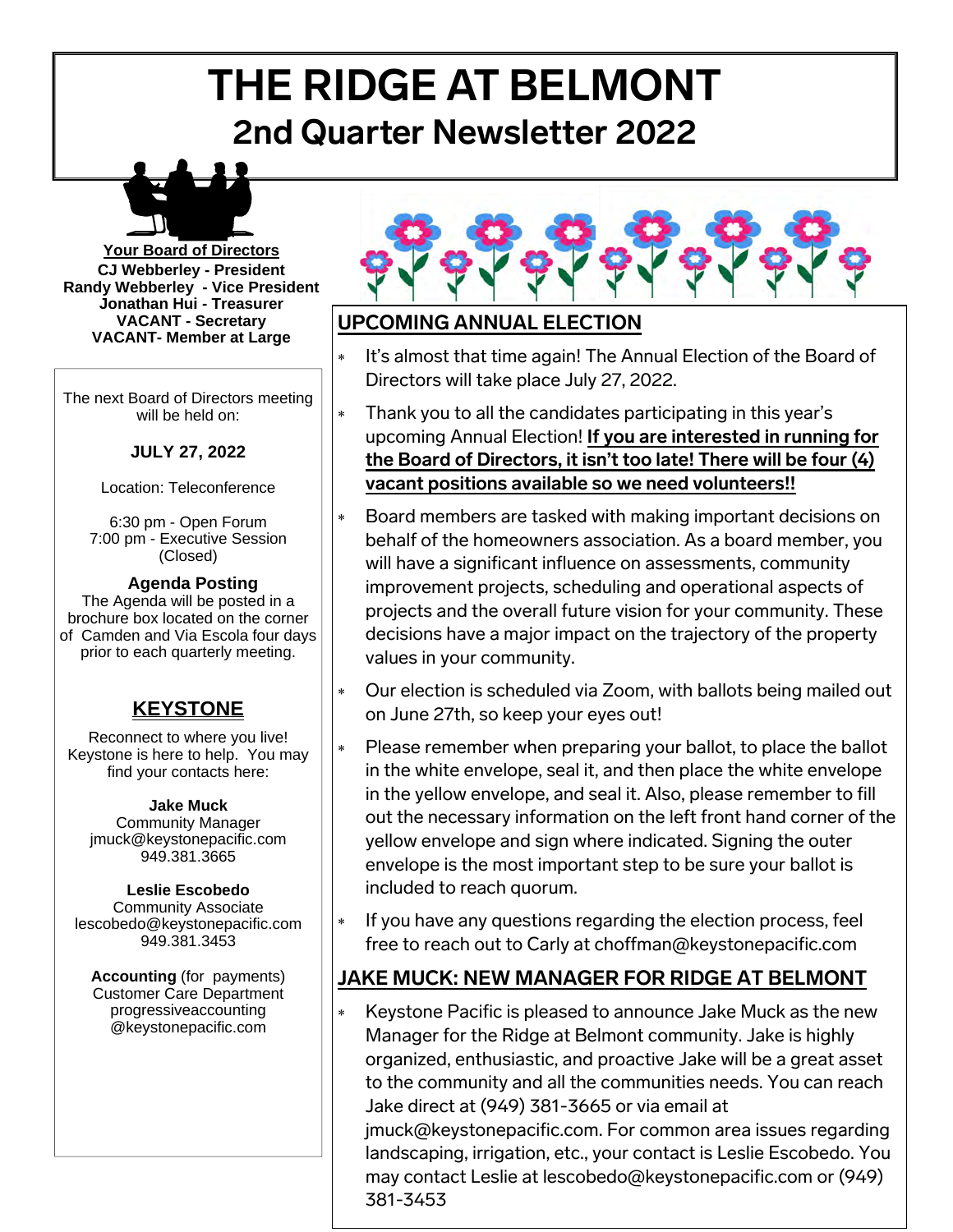# **THE RIDGE AT BELMONT 2nd Quarter Newsletter 2022**



**Your Board of Directors CJ Webberley - President Randy Webberley - Vice President Jonathan Hui - Treasurer VACANT - Secretary VACANT- Member at Large** 

The next Board of Directors meeting will be held on:

#### **JULY 27, 2022**

Location: Teleconference

6:30 pm - Open Forum 7:00 pm - Executive Session (Closed)

#### **Agenda Posting**

The Agenda will be posted in a brochure box located on the corner of Camden and Via Escola four days prior to each quarterly meeting.

# **KEYSTONE**

Reconnect to where you live! Keystone is here to help. You may find your contacts here:

#### **Jake Muck**

Community Manager jmuck@keystonepacific.com 949.381.3665

#### **Leslie Escobedo**  Community Associate

lescobedo@keystonepacific.com 949.381.3453

**Accounting** (for payments) Customer Care Department progressiveaccounting @keystonepacific.com



# **UPCOMING ANNUAL ELECTION**

- It's almost that time again! The Annual Election of the Board of Directors will take place July 27, 2022.
- Thank you to all the candidates participating in this year's upcoming Annual Election! **If you are interested in running for the Board of Directors, it isn't too late! There will be four (4) vacant positions available so we need volunteers!!**
- Board members are tasked with making important decisions on behalf of the homeowners association. As a board member, you will have a significant influence on assessments, community improvement projects, scheduling and operational aspects of projects and the overall future vision for your community. These decisions have a major impact on the trajectory of the property values in your community.
- Our election is scheduled via Zoom, with ballots being mailed out on June 27th, so keep your eyes out!
- Please remember when preparing your ballot, to place the ballot in the white envelope, seal it, and then place the white envelope in the yellow envelope, and seal it. Also, please remember to fill out the necessary information on the left front hand corner of the yellow envelope and sign where indicated. Signing the outer envelope is the most important step to be sure your ballot is included to reach quorum.
- If you have any questions regarding the election process, feel free to reach out to Carly at choffman@keystonepacific.com

# **JAKE MUCK: NEW MANAGER FOR RIDGE AT BELMONT**

\* Keystone Pacific is pleased to announce Jake Muck as the new Manager for the Ridge at Belmont community. Jake is highly organized, enthusiastic, and proactive Jake will be a great asset to the community and all the communities needs. You can reach Jake direct at (949) 381-3665 or via email at jmuck@keystonepacific.com. For common area issues regarding landscaping, irrigation, etc., your contact is Leslie Escobedo. You may contact Leslie at lescobedo@keystonepacific.com or (949) 381-3453